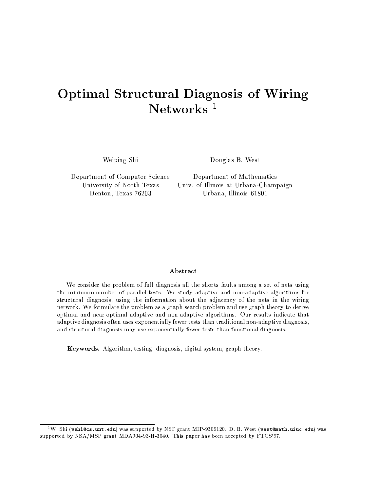# **Optimal Structural Diagnosis of Wiring** Networks $1$

Weiping Shi

Douglas B. West

Department of Computer Science University of North Texas Denton, Texas 76203

Department of Mathematics Univ. of Illinois at Urbana-Champaign Urbana, Illinois 61801

### Abstract

We consider the problem of full diagnosis all the shorts faults among a set of nets using the minimum number of parallel tests. We study adaptive and non-adaptive algorithms for structural diagnosis, using the information about the adjacency of the nets in the wiring network. We formulate the problem as a graph search problem and use graph theory to derive optimal and near-optimal adaptive and non-adaptive algorithms. Our results indicate that adaptive diagnosis often uses exponentially fewer tests than traditional non-adaptive diagnosis, and structural diagnosis may use exponentially fewer tests than functional diagnosis.

**Keywords.** Algorithm, testing, diagnosis, digital system, graph theory.

 $^1\rm{W.}$  Shi (wshi@cs.unt.edu) was supported by NSF grant MIP-9309120. D. B. West (west@math.uiuc.edu) was supported by NSA/MSP grant MDA904-93-H-3040. This paper has been accepted by FTCS'97.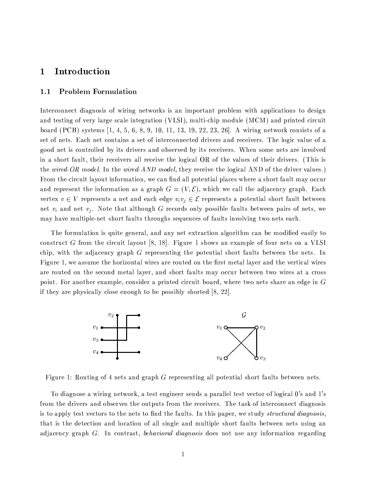#### Introduction  $\mathbf{1}$

#### **Problem Formulation**  $1.1$

Interconnect diagnosis of wiring networks is an important problem with applications to design and testing of very large scale integration (VLSI), multi-chip module (MCM) and printed circuit board (PCB) systems  $[1, 4, 5, 6, 8, 9, 10, 11, 13, 19, 22, 23, 26]$ . A wiring network consists of a set of nets. Each net contains a set of interconnected drivers and receivers. The logic value of a good net is controlled by its drivers and observed by its receivers. When some nets are involved in a short fault, their receivers all receive the logical OR of the values of their drivers. (This is the wired-OR model. In the wired-AND model, they receive the logical AND of the driver values.) From the circuit layout information, we can find all potential places where a short fault may occur and represent the information as a graph  $G = (V, \mathcal{E})$ , which we call the adjacency graph. Each vertex  $v \in V$  represents a net and each edge  $v_i v_j \in \mathcal{E}$  represents a potential short fault between net  $v_i$  and net  $v_j$ . Note that although G records only possible faults between pairs of nets, we may have multiple-net short faults throughs sequences of faults involving two nets each.

The formulation is quite general, and any net extraction algorithm can be modified easily to construct G from the circuit layout [8, 18]. Figure 1 shows an example of four nets on a VLSI chip, with the adjacency graph  $G$  representing the potential short faults between the nets. In Figure 1, we assume the horizontal wires are routed on the first metal layer and the vertical wires are routed on the second metal layer, and short faults may occur between two wires at a cross point. For another example, consider a printed circuit board, where two nets share an edge in G if they are physically close enough to be possibly shorted  $[8, 22]$ .



Figure 1: Routing of 4 nets and graph G representing all potential short faults between nets.

To diagnose a wiring network, a test engineer sends a parallel test vector of logical 0's and 1's from the drivers and observes the outputs from the receivers. The task of interconnect diagnosis is to apply test vectors to the nets to find the faults. In this paper, we study *structural diagnosis*, that is the detection and location of all single and multiple short faults between nets using an adjacency graph G. In contrast, behavioral diagnosis does not use any information regarding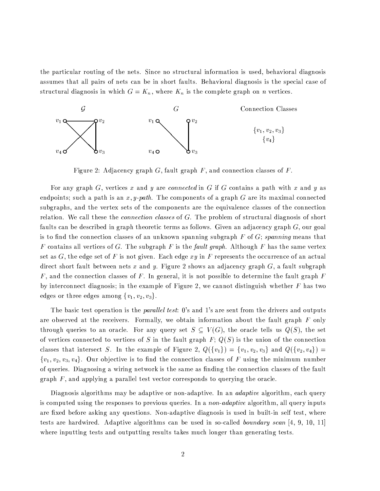the particular routing of the nets. Since no structural information is used, behavioral diagnosis assumes that all pairs of nets can be in short faults. Behavioral diagnosis is the special case of l/E85, in the same state of the same state of the same state of the same state of the same state of the same s



Figure 2: Adjacency graph G, fault graph F, and connection classes of F.

For any graph G, vertices x and y are connected in G if G contains a path with x and y as endpoints; such a path is an x, y-path. The components of a graph G are its maximal connected subgraphs, and the vertex sets of the components are the equivalence classes of the connection relation. We call these the *connection classes* of G. The problem of structural diagnosis of short faults can be described in graph theoretic terms as follows. Given an adjacency graph  $G$ , our goal is to find the connection classes of an unknown spanning subgraph F of G; spanning means that F contains all vertices of G. The subgraph F is the fault graph. Although F has the same vertex set as G, the edge set of F is not given. Each edge  $xy$  in F represents the occurrence of an actual direct short fault between nets x and y. Figure 2 shows an adjacency graph  $G$ , a fault subgraph F, and the connection classes of F. In general, it is not possible to determine the fault graph  $F$ by interconnect diagnosis; in the example of Figure 2, we cannot distinguish whether F has two , and the contract of the contract of the contract of the contract of the contract of the contract of the contract of the contract of the contract of the contract of the contract of the contract of the contract of the con

The basic test operation is the *parallel test*: 0's and 1's are sent from the drivers and outputs @LKO,;CiBI,JKOY9,=- @LHHO85,KO,GS/,/.1Y9,JK/BJFha;9KON§@q>d>1[9l[/,;9i5H¬@q.3 .132P;9KMN§@LHI.1;93 @Li;9=5HîHO85,P@L=2>1H49K¬@?058% ;932>1[ through queries to an oracle. For any query set  $S \subseteq V(G)$ , the oracle tells us  $Q(S)$ , the set of vertices connected to vertices of S in the fault graph F;  $Q(S)$  is the union of the connection  $\mathcal{A}$  -1  $\mathcal{A}$  , and the state  $\mathcal{A}$  and  $\mathcal{A}$  the state  $\mathcal{A}$ t and the signal of the signal of the signal of the signal of the signal of the signal of the signal of the signal of the signal of the signal of the signal of the signal of the signal of the signal of the signal of the si of queries. Diagnosing a wiring network is the same as finding the connection classes of the fault graph  $F$ , and applying a parallel test vector corresponds to querying the oracle.

Diagnosis algorithms may be adaptive or non-adaptive. In an *adaptive* algorithm, each query is computed using the responses to previous queries. In a *non-adaptive* algorithm, all query inputs are fixed before asking any questions. Non-adaptive diagnosis is used in built-in self test, where tests are hardwired. Adaptive algorithms can be used in so-called boundary scan  $[4, 9, 10, 11]$ where inputting tests and outputting results takes much longer than generating tests.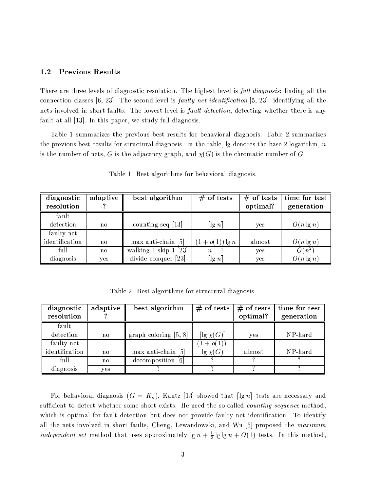#### $1.2$ **Previous Results**

There are three levels of diagnostic resolution. The highest level is *full diagnosis*: finding all the connection classes [6, 23]. The second level is *faulty net identification* [5, 23]: identifying all the nets involved in short faults. The lowest level is *fault detection*, detecting whether there is any fault at all [13]. In this paper, we study full diagnosis.

Table 1 summarizes the previous best results for behavioral diagnosis. Table 2 summarizes the previous best results for structural diagnosis. In the table,  $\lg$  denotes the base 2 logarithm, n is the number of nets, G is the adjacency graph, and  $\chi(G)$  is the chromatic number of G.

| diagnostic<br>resolution | adaptive     | best algorithm                      | $#$ of tests          | $#$ of tests<br>optimal? | time for test<br>generation |
|--------------------------|--------------|-------------------------------------|-----------------------|--------------------------|-----------------------------|
|                          |              |                                     |                       |                          |                             |
| fault                    |              |                                     |                       |                          |                             |
| detection                | $\mathbf{n}$ | counting seq $[13]$                 | $\lceil \lg n \rceil$ | yes                      | $O(n \lg n)$                |
| faulty net               |              |                                     |                       |                          |                             |
| identification           | no           | max anti-chain [5]                  | $(1+o(1))\lg n$       | almost                   | $O(n \lg n)$                |
| full                     | $\mathbf{n}$ | walking $1$ skip $1$ [23]           | $n-1$                 | yes                      | $O(n^2)$                    |
| diagnosis                | ves          | divide conquer<br>$\left[23\right]$ | $\lceil \lg n \rceil$ | ves                      | $O(n \lg n)$                |

Table 1: Best algorithms for behavioral diagnosis.

Table 2: Best algorithms for structural diagnosis.

| diagnostic     | adaptive      | best algorithm          | $#$ of tests              | $#$ of tests | time for test |
|----------------|---------------|-------------------------|---------------------------|--------------|---------------|
| resolution     |               |                         |                           | optimal?     | generation    |
| fault          |               |                         |                           |              |               |
| detection      | no            | graph coloring $[5, 8]$ | $\lceil\lg \chi(G)\rceil$ | yes          | NP-hard       |
| faulty net     |               |                         | $(1+o(1))$                |              |               |
| identification | $\mathbf{no}$ | $max$ anti-chain [5]    | $\lg \chi(G)$             | almost       | NP-hard       |
| full           | $\mathbf{no}$ | decomposition [6]       |                           |              |               |
| diagnosis      | yes           |                         |                           |              |               |

For behavioral diagnosis  $(G = K_n)$ , Kautz [13] showed that  $\lceil \lg n \rceil$  tests are necessary and sufficient to detect whether some short exists. He used the so-called counting sequence method, which is optimal for fault detection but does not provide faulty net identification. To identify all the nets involved in short faults, Cheng, Lewandowski, and Wu [5] proposed the maximum independent set method that uses approximately  $\lg n + \frac{1}{2} \lg \lg n + O(1)$  tests. In this method,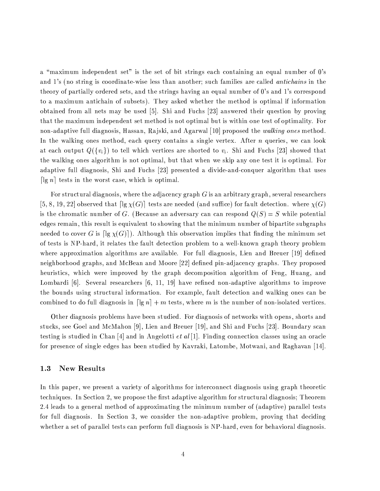a "maximum independent set" is the set of bit strings each containing an equal number of 0's and 1's (no string is coordinate-wise less than another; such families are called *antichains* in the theory of partially ordered sets, and the strings having an equal number of 0's and 1's correspond to a maximum antichain of subsets). They asked whether the method is optimal if information obtained from all nets may be used [5]. Shi and Fuchs [23] answered their question by proving that the maximum independent set method is not optimal but is within one test of optimality. For non-adaptive full diagnosis, Hassan, Rajski, and Agarwal [10] proposed the walking ones method. In the walking ones method, each query contains a single vertex. After  $n$  queries, we can look at each output  $Q(\lbrace v_i \rbrace)$  to tell which vertices are shorted to  $v_i$ . Shi and Fuchs [23] showed that the walking ones algorithm is not optimal, but that when we skip any one test it is optimal. For adaptive full diagnosis, Shi and Fuchs [23] presented a divide-and-conquer algorithm that uses [ $\lg n$ ] tests in the worst case, which is optimal.

For structural diagnosis, where the adjacency graph  $G$  is an arbitrary graph, several researchers [5, 8, 19, 22] observed that  $\lceil \lg \chi(G) \rceil$  tests are needed (and suffice) for fault detection. where  $\chi(G)$ is the chromatic number of G. (Because an adversary can can respond  $Q(S) = S$  while potential edges remain, this result is equivalent to showing that the minimum number of bipartite subgraphs needed to cover G is  $\lceil \lg \chi(G) \rceil$ ). Although this observation implies that finding the minimum set of tests is NP-hard, it relates the fault detection problem to a well-known graph theory problem where approximation algorithms are available. For full diagnosis, Lien and Breuer [19] defined neighborhood graphs, and McBean and Moore [22] defined pin-adjacency graphs. They proposed heuristics, which were improved by the graph decomposition algorithm of Feng, Huang, and Lombardi [6]. Several researchers [6, 11, 19] have refined non-adaptive algorithms to improve the bounds using structural information. For example, fault detection and walking ones can be combined to do full diagnosis in  $\lceil \lg n \rceil + m$  tests, where m is the number of non-isolated vertices.

Other diagnosis problems have been studied. For diagnosis of networks with opens, shorts and stucks, see Goel and McMahon [9], Lien and Breuer [19], and Shi and Fuchs [23]. Boundary scan testing is studied in Chan [4] and in Angelotti *et al* [1]. Finding connection classes using an oracle for presence of single edges has been studied by Kavraki, Latombe, Motwani, and Raghavan [14].

#### $1.3$ **New Results**

In this paper, we present a variety of algorithms for interconnect diagnosis using graph theoretic techniques. In Section 2, we propose the first adaptive algorithm for structural diagnosis; Theorem 2.4 leads to a general method of approximating the minimum number of (adaptive) parallel tests for full diagnosis. In Section 3, we consider the non-adaptive problem, proving that deciding whether a set of parallel tests can perform full diagnosis is NP-hard, even for behavioral diagnosis.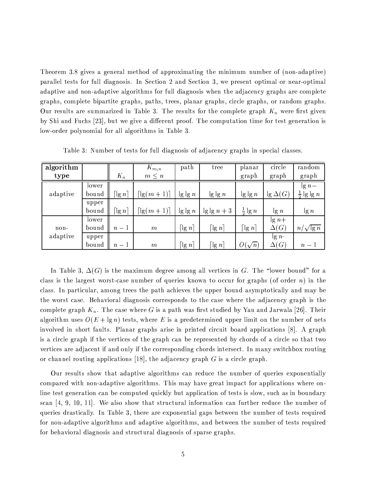Theorem 3.8 gives a general method of approximating the minimum number of (non-adaptive) parallel tests for full diagnosis. In Section 2 and Section 3, we present optimal or near-optimal adaptive and non-adaptive algorithms for full diagnosis when the adjacency graphs are complete graphs, complete bipartite graphs, paths, trees, planar graphs, circle graphs, or random graphs. Our results are summarized in Table 3. The results for the complete graph  $K_n$  were first given by Shi and Fuchs [23], but we give a different proof. The computation time for test generation is low-order polynomial for all algorithms in Table 3.

| algorithm |       |         | $K_{m,n}$                | path                  | tree                  | planar           | circle          | random                       |
|-----------|-------|---------|--------------------------|-----------------------|-----------------------|------------------|-----------------|------------------------------|
| type      |       | $K_n$   | $m \leq n$               |                       |                       | graph            | graph           | graph                        |
|           | lower |         |                          |                       |                       |                  |                 | $\lg n -$                    |
| adaptive  | bound | $\lg n$ | $\lceil \lg(m+1) \rceil$ | $\lg \lg n$           | $\lg \lg n$           | $\lg \lg n$      | $\lg \Delta(G)$ | $\lg \lg n$<br>$\frac{1}{2}$ |
|           | upper |         |                          |                       |                       |                  |                 |                              |
|           | bound | $\lg n$ | $\lceil \lg(m+1) \rceil$ | $\lg \lg n$           | $\lg \lg n + 3$       | $rac{1}{2}$ lg n | $\lg n$         | $\lg n$                      |
|           | lower |         |                          |                       |                       |                  | $\lg n +$       |                              |
| non-      | bound | $n-1$   | m                        | $\lceil \lg n\rceil$  | $\lg n$               | $\lg n$          | $\Delta(G)$     | $n/\sqrt{\lg n}$             |
| adaptive  | upper |         |                          |                       |                       |                  | $\lg n$ .       |                              |
|           | bound | $n-1$   | m                        | $\lceil \lg n \rceil$ | $\lceil \lg n \rceil$ | $O(\sqrt{n})$    | $\Delta(G)$     | $n-1$                        |

Table 3: Number of tests for full diagnosis of adjacency graphs in special classes.

bZ3-^@Li2>1,t5l 40jP9«.AB<HM85,¥N@k`T.1N=5N -2,J49KO,J,@LN;9354@k>e>RY9,JKOH².AS/,GBh.13}jîF(^85, M>1;/,JK<i;9=53 -îP©;9K(@ class is the largest worst-case number of queries known to occur for graphs (of order n) in the class. In particular, among trees the path achieves the upper bound asymptotically and may be the worst case. Behavioral diagnosis corresponds to the case where the adjacency graph is the complete graph  $K_n$ . The case where G is a path was first studied by Yau and Jarwala [26]. Their algorithm uses  $O(E + \lg n)$  tests, where E is a predetermined upper limit on the number of nets involved in short faults. Planar graphs arise in printed circuit board applications [8]. A graph is a circle graph if the vertices of the graph can be represented by chords of a circle so that two vertices are adjacent if and only if the corresponding chords intersect. In many switchbox routing or channel routing applications [18], the adjacency graph  $G$  is a circle graph.

Our results show that adaptive algorithms can reduce the number of queries exponentially compared with non-adaptive algorithms. This may have great impact for applications where online test generation can be computed quickly but application of tests is slow, such as in boundary scan [4, 9, 10, 11]. We also show that structural information can further reduce the number of queries drastically. In Table 3, there are exponential gaps between the number of tests required for non-adaptive algorithms and adaptive algorithms, and between the number of tests required for behavioral diagnosis and structural diagnosis of sparse graphs.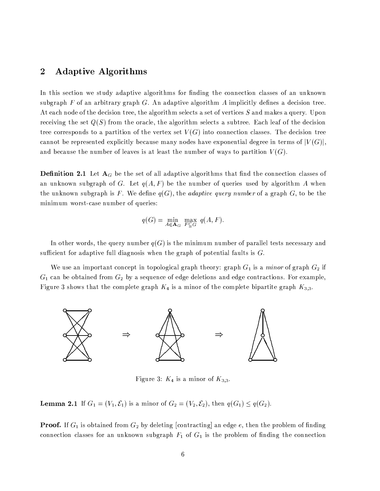### $\blacksquare$  . The state of the state of the state of the state of the state of the state of the state of the state of the state of the state of the state of the state of the state of the state of the state of the state of the

In this section we study adaptive algorithms for finding the connection classes of an unknown subgraph F of an arbitrary graph G. An adaptive algorithm A implicitly defines a decision tree. At each node of the decision tree, the algorithm selects a set of vertices S and makes a query. Upon receiving the set  $Q(S)$  from the oracle, the algorithm selects a subtree. Each leaf of the decision tree corresponds to a partition of the vertex set  $V(G)$  into connection classes. The decision tree cannot be represented explicitly because many nodes have exponential degree in terms of  $|V(G)|$ , and because the number of leaves is at least the number of ways to partition  $V(G)$ .

**Definition 2.1** Let  $A_G$  be the set of all adaptive algorithms that find the connection classes of an unknown subgraph of G. Let  $q(A, F)$  be the number of queries used by algorithm A when the unknown subgraph is F. We define  $q(G)$ , the *adaptive query number* of a graph G, to be the minimum worst-case number of queries:

$$
q(G) = \min_{A \in \mathbf{A}_G} \max_{F \subseteq G} q(A, F).
$$

In other words, the query number  $q(G)$  is the minimum number of parallel tests necessary and sufficient for adaptive full diagnosis when the graph of potential faults is  $G$ .

We use an important concept in topological graph theory: graph  $G_1$  is a *minor* of graph  $G_2$  if  $G_1$  can be obtained from  $G_2$  by a sequence of edge deletions and edge contractions. For example, h\_.149=5KO,ftB²85;/<BHO8@LHHO85,S/;9N02>1,JHO,f4CK¬@L058'<.WB<@N.135;9KE;LPHO85,fS/;9Nî02>,JHM,fi2.10@LKOHI.1HO,u49K¬@L058 LF



h\_.149=5KM,¥t;/<.ABh@N.135;9K<;LP qF

**Lemma 2.1** If  $G_1 = (V_1, \mathcal{E}_1)$  is a minor of  $G_2 = (V_2, \mathcal{E}_2)$ , then  $q(G_1) \leq q(G_2)$ .

**Proof.** If  $G_1$  is obtained from  $G_2$  by deleting [contracting] an edge  $e$ , then the problem of finding connection classes for an unknown subgraph  $F_1$  of  $G_1$  is the problem of finding the connection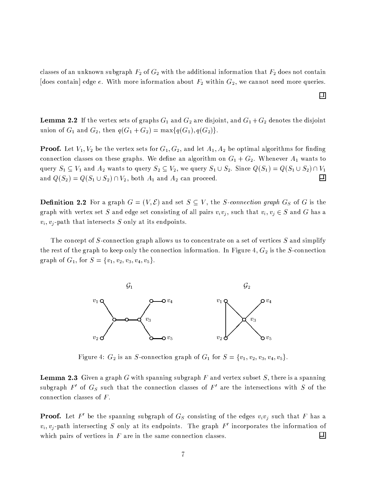classes of an unknown subgraph  $F_2$  of  $G_2$  with the additional information that  $F_2$  does not contain [does contain] edge e. With more information about  $F_2$  within  $G_2$ , we cannot need more queries.

回

**Lemma 2.2** If the vertex sets of graphs  $G_1$  and  $G_2$  are disjoint, and  $G_1 + G_2$  denotes the disjoint union of  $G_1$  and  $G_2$ , then  $q(G_1+G_2)=\max\{q(G_1),q(G_2)\}.$ 

**Proof.** Let  $V_1, V_2$  be the vertex sets for  $G_1, G_2$ , and let  $A_1, A_2$  be optimal algorithms for finding S/;93-SM++, S/;93-SM++, S/;93-SM++, S/;93-SM++, S/;93-SM++, S/;9KI.1HO85N;C33j @j F++, S/;1-Vi35, M++, S/;1-Vi35, M++, S/;1-Vi35, M++, S/;1-Vi35, M++, S/;1-Vi35, M++, S/;1-Vi35, M++, S/;1-Vi35, M++, S/;1-Vi35, M++, S/;1-Vi ~C=5,JKO[& ( o @L3 -% /E@L3TH/BHO;~C=5,JKO[& ( o l/, ~C=5,JKO['& & F6L.13S/,\*P4+& 9"l \*P4+& & 9-o 口 @L3 -'\*.4 & 9"l \*.4 & & 9-o l2i;9HO8< @?3 -% SJ@L305KM; S/,J,=-F

**Definition 2.2** For a graph  $G = (V, \mathcal{E})$  and set  $S \subseteq V$ , the *S*-connection graph  $G_S$  of G is the graph with vertex set S and edge set consisting of all pairs  $v_i v_j$ , such that  $v_i, v_j \in S$  and G has a  $v_i, v_j$ -path that intersects S only at its endpoints.

The concept of S-connection graph allows us to concentrate on a set of vertices S and simplify the rest of the graph to keep only the connection information. In Figure 4,  $G_2$  is the S-connection  $\blacksquare$  The set of  $\blacksquare$ 



h\_.149=5KO,8C &j .AB<@L3&¤jS/;93535,GS/HI.1;934CK¬@L058;LPj P;CK &wl t q>t q>tGqVtGqVt TF

**Lemma 2.3** Given a graph G with spanning subgraph F and vertex subset S, there is a spanning BI=5i549K/@L058%

E;LP j BI=SM8 HM8@LHHO85,S/;93535,GS/H².;C3 SM>W@9BOBI,GBî;LP

E@LKO,HO85,®.32HO,JK¬B²,GS/HI.1;93B/g.HM8-&;LP(HO85, connection classes of  $F$ .

**Proof.** Let F' be the spanning subgraph of  $G_S$  consisting of the edges  $v_i v_j$  such that F has a  $v_i, v_j$ -path intersecting S only at its endpoints. The graph  $F'$  incorporates the information of which pairs of vertices in  $F$  are in the same connection classes. Ш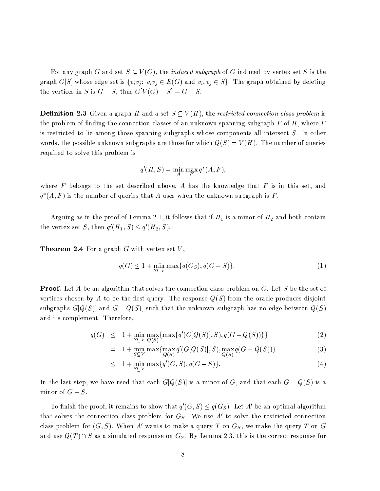For any graph G and set  $S \subseteq V(G)$ , the *induced subgraph* of G induced by vertex set S is the graph G[S] whose edge set is  $\{v_i v_j : v_i v_j \in E(G) \text{ and } v_i, v_j \in S\}$ . The graph obtained by deleting the vertices in S is  $G - S$ ; thus  $G[V(G) - S] = G - S$ .

**Definition 2.3** Given a graph H and a set  $S \subseteq V(H)$ , the restricted connection class problem is the problem of finding the connection classes of an unknown spanning subgraph F of H, where F is restricted to lie among those spanning subgraphs whose components all intersect S. In other words, the possible unknown subgraphs are those for which  $Q(S) = V(H)$ . The number of queries required to solve this problem is

$$
q'(H, S) = \min_{A} \max_{F} q^*(A, F),
$$

where F belongs to the set described above, A has the knowledge that F is in this set, and  $q^*(A, F)$  is the number of queries that A uses when the unknown subgraph is F.

Arguing as in the proof of Lemma 2.1, it follows that if  $H_1$  is a minor of  $H_2$  and both contain the vertex set S, then  $q'(H_1, S) \leq q'(H_2, S)$ .

**Theorem 2.4** For a graph  $G$  with vertex set  $V$ ,

$$
q(G) \le 1 + \min_{S \subseteq V} \max\{q(G_S), q(G - S)\}.
$$
\n<sup>(1)</sup>

**Proof.** Let A be an algorithm that solves the connection class problem on G. Let S be the set of vertices chosen by A to be the first query. The response  $Q(S)$  from the oracle produces disjoint subgraphs  $G[Q(S)]$  and  $G-Q(S)$ , such that the unknown subgraph has no edge between  $Q(S)$ and its complement. Therefore,

$$
q(G) \leq 1 + \min_{S \subseteq V} \max_{Q(S)} \{ \max\{ q'(G[Q(S)], S), q(G - Q(S)) \} \} \tag{2}
$$

$$
= 1 + \min_{S \subseteq V} \max \{ \max_{Q(S)} q'(G[Q(S)], S), \max_{Q(S)} q(G - Q(S)) \} \tag{3}
$$

$$
\leq 1 + \min_{S \subseteq V} \max\{q'(G, S), q(G - S)\}.
$$
 (4)

In the last step, we have used that each  $G[Q(S)]$  is a minor of G, and that each  $G-Q(S)$  is a minor of  $G-S$ .

To finish the proof, it remains to show that  $q'(G, S) \leq q(G_S)$ . Let A' be an optimal algorithm that solves the connection class problem for  $G_S$ . We use A' to solve the restricted connection class problem for  $(G, S)$ . When A' wants to make a query T on  $G_S$ , we make the query T on G and use  $Q(T) \cap S$  as a simulated response on  $G_S$ . By Lemma 2.3, this is the correct response for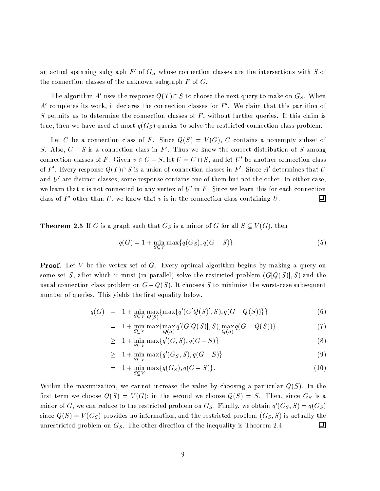an actual spanning subgraph  $F'$  of  $G_S$  whose connection classes are the intersections with S of the connection classes of the unknown subgraph  $F$  of  $G$ .

The algorithm A' uses the response  $Q(T) \cap S$  to choose the next query to make on  $G_S$ . When A' completes its work, it declares the connection classes for  $F'$ . We claim that this partition of S permits us to determine the connection classes of  $F$ , without further queries. If this claim is true, then we have used at most  $q(G<sub>S</sub>)$  queries to solve the restricted connection class problem.

Let C be a connection class of F. Since  $Q(S) = V(G)$ , C contains a nonempty subset of S. Also,  $C \cap S$  is a connection class in F'. Thus we know the correct distribution of S among connection classes of F. Given  $v \in C - S$ , let  $U = C \cap S$ , and let U' be another connection class of F'. Every response  $Q(T) \cap S$  is a union of connection classes in F'. Since A' determines that U and  $U'$  are distinct classes, some response contains one of them but not the other. In either case, we learn that v is not connected to any vertex of  $U'$  in F. Since we learn this for each connection class of  $F'$  other than  $U$ , we know that  $v$  is in the connection class containing  $U$ . 그

**Theorem 2.5** If G is a graph such that  $G_S$  is a minor of G for all  $S \subseteq V(G)$ , then

$$
q(G) = 1 + \min_{S \subseteq V} \max\{q(G_S), q(G - S)\}.
$$
\n(5)

**Proof.** Let V be the vertex set of G. Every optimal algorithm begins by making a query on some set S, after which it must (in parallel) solve the restricted problem  $(G[Q(S)], S)$  and the usual connection class problem on  $G-Q(S).$  It chooses  $S$  to minimize the worst-case subsequent number of queries. This yields the first equality below.

$$
q(G) = 1 + \min_{S \subseteq V} \max_{Q(S)} \{ \max\{ q'(G[Q(S)], S), q(G - Q(S)) \} \}
$$
(6)

$$
= 1 + \min_{S \subseteq V} \max \{ \max_{Q(S)} q'(G[Q(S)], S), \max_{Q(S)} q(G - Q(S)) \} \tag{7}
$$

$$
\geq 1 + \min_{S \subseteq V} \max\{q'(G, S), q(G - S)\}\tag{8}
$$

$$
\geq 1 + \min_{S \subset V} \max\{q'(G_S, S), q(G - S)\}\tag{9}
$$

$$
= 1 + \min_{S \subseteq V} \max\{q(G_S), q(G - S)\}.
$$
 (10)

Within the maximization, we cannot increase the value by choosing a particular  $Q(S)$ . In the first term we choose  $Q(S) = V(G)$ ; in the second we choose  $Q(S) = S$ . Then, since  $G_S$  is a minor of G, we can reduce to the restricted problem on Gs. Finally, we obtain  $q'(G_S, S) = q(G_S)$ since  $Q(S) = V(G<sub>S</sub>)$  provides no information, and the restricted problem  $(G<sub>S</sub>, S)$  is actually the unrestricted problem on  $G_S$ . The other direction of the inequality is Theorem 2.4. 囙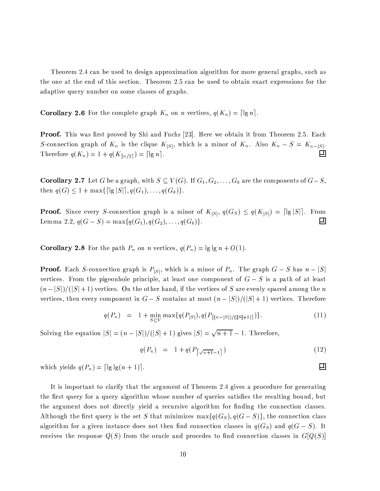Theorem 2.4 can be used to design approximation algorithm for more general graphs, such as the one at the end of this section. Theorem 2.5 can be used to obtain exact expressions for the adaptive query number on some classes of graphs.

**Corollary 2.6** For the complete graph  $K_n$  on n vertices,  $q(K_n) = \lceil \lg n \rceil$ .

**Proof.** This was first proved by Shi and Fuchs [23]. Here we obtain it from Theorem 2.5. Each S-connection graph of  $K_n$  is the clique  $K_{|S|}$ , which is a minor of  $K_n$ . Also  $K_n - S = K_{n-|S|}$ .  $\Box$ Therefore  $q(K_n) = 1 + q(K_{\lceil n/2 \rceil}) = \lceil \lg n \rceil$ .

**Corollary 2.7** Let G be a graph, with  $S \subseteq V(G)$ . If  $G_1, G_2, \ldots, G_k$  are the components of  $G-S$ , then  $q(G) \leq 1 + \max\{[|g|S|], q(G_1), \ldots, q(G_k)\}.$ 

**Proof.** Since every S-connection graph is a minor of  $K_{|S|}$ ,  $q(G_S) \leq q(K_{|S|}) = \lceil |S| \rceil$ . From Lemma 2.2,  $q(G - S) = \max\{q(G_1), q(G_2), \ldots, q(G_k)\}.$  $\Box$ 

**Corollary 2.8** For the path  $P_n$  on *n* vertices,  $q(P_n) = \lg \lg n + O(1)$ .

**Proof.** Each S-connection graph is  $P_{|S|}$ , which is a minor of  $P_n$ . The graph  $G-S$  has  $n-|S|$ vertices. From the pigeonhole principle, at least one component of  $G-S$  is a path of at least  $(n-|S|)/(|S|+1)$  vertices. On the other hand, if the vertices of S are evenly spaced among the n vertices, then every component in  $G-S$  contains at most  $(n-|S|)/(|S|+1)$  vertices. Therefore

$$
q(P_n) = 1 + \min_{S \subset V} \max\{q(P_{|S|}), q(P_{[(n-|S|)/(|S|+1)]})\}.
$$
 (11)

Solving the equation  $|S| = (n - |S|)/(|S| + 1)$  gives  $|S| = \sqrt{n+1} - 1$ . Therefore,

$$
q(P_n) = 1 + q(P_{\lceil \sqrt{n+1} - 1 \rceil}) \tag{12}
$$

 $\Box$ 

which yields  $q(P_n) = \lceil \lg \lg(n+1) \rceil$ .

It is important to clarify that the argument of Theorem 2.4 gives a procedure for generating the first query for a query algorithm whose number of queries satisfies the resulting bound, but the argument does not directly yield a recursive algorithm for finding the connection classes. Although the first query is the set S that minimizes  $\max\{q(G_S), q(G-S)\}\$ , the connection class algorithm for a given instance does not then find connection classes in  $q(G<sub>S</sub>)$  and  $q(G - S)$ . It receives the response  $Q(S)$  from the oracle and procedes to find connection classes in  $G[Q(S)]$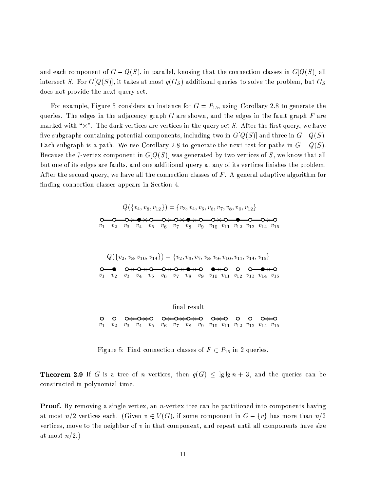and each component of  $G-Q(S)$ , in parallel, knosing that the connection classes in  $G[Q(S)]$  all intersect S. For  $G[Q(S)]$ , it takes at most  $q(G<sub>S</sub>)$  additional queries to solve the problem, but  $G<sub>S</sub>$ does not provide the next query set.

For example, Figure 5 considers an instance for  $G = P_{15}$ , using Corollary 2.8 to generate the queries. The edges in the adjacency graph G are shown, and the edges in the fault graph F are  $1 \quad 1 \quad \mu$ 14  $\mu$  m,  $1 \quad 1 \quad \mu$ five subgraphs containing potential components, including two in  $G[Q(S)]$  and three in  $G-Q(S)$ . Each subgraph is a path. We use Corollary 2.8 to generate the next test for paths in  $G-Q(S)$ . Because the 7-vertex component in  $G[Q(S)]$  was generated by two vertices of S, we know that all but one of its edges are faults, and one additional query at any of its vertices finishes the problem. After the second query, we have all the connection classes of  $F$ . A general adaptive algorithm for finding connection classes appears in Section 4.





Figure 5: Find connection classes of  $F \subset P_{15}$  in 2 queries.

**Theorem 2.9** If G is a tree of n vertices, then  $q(G) \leq |g|g_n + 3$ , and the queries can be constructed in polynomial time.

**Proof.** By removing a single vertex, an *n*-vertex tree can be partitioned into components having  $\mathcal{H}_\text{max}$  is the state of the state of the state of the state of the state of the state of the state of the state of the state of the state of the state of the state of the state of the state of the state of the state vertices, move to the neighbor of  $v$  in that component, and repeat until all components have size at most  $n/2$ .)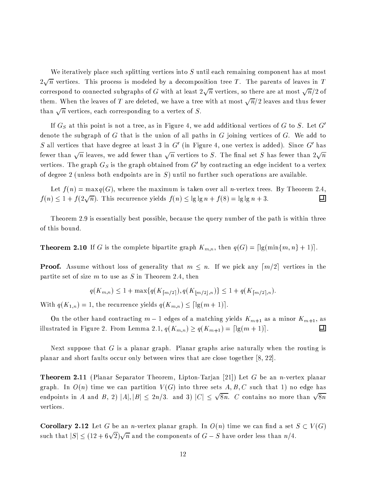We iteratively place such splitting vertices into  $S$  until each remaining component has at most  $2\sqrt{n}$  vertices. This process is modeled by a decomposition tree T. The parents of leaves in T correspond to connected subgraphs of G with at least  $2\sqrt{n}$  vertices, so there are at most  $\sqrt{n}/2$  of them. When the leaves of  $T$  are deleted, we have a tree with at most  $\sqrt{n}/2$  leaves and thus fewer than  $\sqrt{n}$  vertices, each corresponding to a vertex of S.

If  $G_S$  at this point is not a tree, as in Figure 4, we add additional vertices of G to S. Let  $G'$ denote the subgraph of G that is the union of all paths in G joining vertices of G. We add to S all vertices that have degree at least 3 in G' (in Figure 4, one vertex is added). Since G' has fewer than  $\sqrt{n}$  leaves, we add fewer than  $\sqrt{n}$  vertices to S. The final set S has fewer than  $2\sqrt{n}$ vertices. The graph  $G_S$  is the graph obtained from  $G'$  by contracting an edge incident to a vertex of degree 2 (unless both endpoints are in  $S$ ) until no further such operations are available.

Let  $f(n) = \max q(G)$ , where the maximum is taken over all *n*-vertex trees. By Theorem 2.4,  $f(n) \leq 1 + f(2\sqrt{n})$ . This recurrence yields  $f(n) \leq \lg \lg n + f(8) = \lg \lg n + 3$ . 그

Theorem 2.9 is essentially best possible, because the query number of the path is within three of this bound.

**Theorem 2.10** If G is the complete bipartite graph  $K_{m,n}$ , then  $q(G) = \lceil \lg(\min\{m, n\} + 1) \rceil$ .

**Proof.** Assume without loss of generality that  $m \leq n$ . If we pick any  $\lceil m/2 \rceil$  vertices in the partite set of size  $m$  to use as  $S$  in Theorem 2.4, then

$$
q(K_{m,n}) \leq 1 + \max\{q(K_{\lfloor m/2 \rfloor}), q(K_{\lfloor m/2 \rfloor,n})\} \leq 1 + q(K_{\lfloor m/2 \rfloor,n}).
$$

With  $q(K_{1,n}) = 1$ , the recurrence yields  $q(K_{m,n}) \leq \lceil \lg(m+1) \rceil$ .

On the other hand contracting  $m-1$  edges of a matching yields  $K_{m+1}$  as a minor  $K_{m+1}$ , as illustrated in Figure 2. From Lemma 2.1,  $q(K_{m,n}) \geq q(K_{m+1}) = \lceil \lg(m+1) \rceil$ . 口

Next suppose that G is a planar graph. Planar graphs arise naturally when the routing is planar and short faults occur only between wires that are close together [8, 22].

**Theorem 2.11** (Planar Separator Theorem, Lipton-Tarjan [21]) Let G be an *n*-vertex planar graph. In  $O(n)$  time we can partition  $V(G)$  into three sets A, B, C such that 1) no edge has endpoints in A and B, 2)  $|A|, |B| \le 2n/3$ . and 3)  $|C| \le \sqrt{8n}$ . C contains no more than  $\sqrt{8n}$ vertices.

**Corollary 2.12** Let G be an *n*-vertex planar graph. In  $O(n)$  time we can find a set  $S \subset V(G)$ such that  $|S| \le (12 + 6\sqrt{2})\sqrt{n}$  and the components of  $G-S$  have order less than  $n/4$ .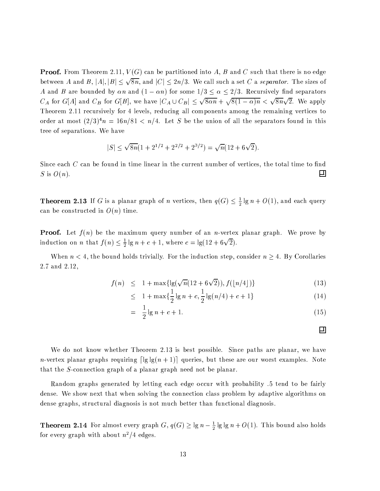**Proof.** From Theorem 2.11,  $V(G)$  can be partitioned into A, B and C such that there is no edge between A and B,  $|A|, |B| \leq \sqrt{8n}$ , and  $|C| \leq 2n/3$ . We call such a set C a separator. The sizes of A and B are bounded by an and  $(1 - \alpha n)$  for some  $1/3 \le \alpha \le 2/3$ . Recursively find separators  $C_A$  for  $G[A]$  and  $C_B$  for  $G[B]$ , we have  $|C_A \cup C_B| \leq \sqrt{8\alpha n} + \sqrt{8(1-\alpha)n} < \sqrt{8n}\sqrt{2}$ . We apply Theorem 2.11 recursively for 4 levels, reducing all components among the remaining vertices to order at most  $(2/3)^4n = 16n/81 < n/4$ . Let S be the union of all the separators found in this tree of separations. We have

$$
|S| \le \sqrt{8n}(1 + 2^{1/2} + 2^{2/2} + 2^{3/2}) = \sqrt{n}(12 + 6\sqrt{2}).
$$

Since each C can be found in time linear in the current number of vertices, the total time to find S is  $O(n)$ . 囙

**Theorem 2.13** If G is a planar graph of n vertices, then  $q(G) \leq \frac{1}{2} \lg n + O(1)$ , and each query can be constructed in  $O(n)$  time.

**Proof.** Let  $f(n)$  be the maximum query number of an *n*-vertex planar graph. We prove by induction on *n* that  $f(n) \leq \frac{1}{2} \lg n + c + 1$ , where  $c = \lg(12 + 6\sqrt{2})$ .

When  $n < 4$ , the bound holds trivially. For the induction step, consider  $n \geq 4$ . By Corollaries 2.7 and 2.12,

$$
f(n) \le 1 + \max\{ \lg(\sqrt{n}(12 + 6\sqrt{2})), f(\lfloor n/4 \rfloor) \} \tag{13}
$$

$$
\leq 1 + \max\{\frac{1}{2}\lg n + c, \frac{1}{2}\lg(n/4) + c + 1\} \tag{14}
$$

$$
= \frac{1}{2} \lg n + c + 1. \tag{15}
$$

囙

We do not know whether Theorem 2.13 is best possible. Since paths are planar, we have *n*-vertex planar graphs requiring  $\lceil \lg \lg(n+1) \rceil$  queries, but these are our worst examples. Note that the  $S$ -connection graph of a planar graph need not be planar.

Random graphs generated by letting each edge occur with probability .5 tend to be fairly dense. We show next that when solving the connection class problem by adaptive algorithms on dense graphs, structural diagnosis is not much better than functional diagnosis.

**Theorem 2.14** For almost every graph  $G, q(G) \ge \lg n - \frac{1}{2} \lg \lg n + O(1)$ . This bound also holds for every graph with about  $n^2/4$  edges.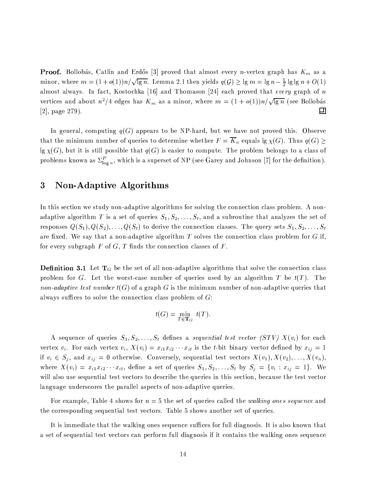**Proof.** Bollobás, Catlin and Erdős [3] proved that almost every *n*-vertex graph has  $K_m$  as a  $\frac{1}{\sqrt{1-\frac{1}{\sqrt{1-\frac{1}{\sqrt{1-\frac{1}{\sqrt{1-\frac{1}{\sqrt{1-\frac{1}{\sqrt{1-\frac{1}{\sqrt{1-\frac{1}{\sqrt{1-\frac{1}{\sqrt{1-\frac{1}{\sqrt{1-\frac{1}{\sqrt{1-\frac{1}{\sqrt{1-\frac{1}{\sqrt{1-\frac{1}{\sqrt{1-\frac{1}{\sqrt{1-\frac{1}{\sqrt{1-\frac{1}{\sqrt{1-\frac{1}{\sqrt{1-\frac{1}{\sqrt{1-\frac{1}{\sqrt{1-\frac{1}{\sqrt{1-\frac{1}{\sqrt{1-\frac{1}{\sqrt{1-\frac{1}{\sqrt{1-\frac{1$ almost always. In fact, Kostochka [16] and Thomason [24] each proved that every graph of  $n$  $\frac{1}{2}$ ,  $\frac{1}{2}$ ,  $\frac{1}{2}$ ,  $\frac{1}{2}$ ,  $\frac{1}{2}$ ,  $\frac{1}{2}$ ,  $\frac{1}{2}$ ,  $\frac{1}{2}$ ,  $\frac{1}{2}$ ,  $\frac{1}{2}$ ,  $\frac{1}{2}$ ,  $\frac{1}{2}$ ,  $\frac{1}{2}$ ,  $\frac{1}{2}$ ,  $\frac{1}{2}$ ,  $\frac{1}{2}$ ,  $\frac{1}{2}$ ,  $\frac{1}{2}$ ,  $\frac{1}{2}$ ,  $\frac{1}{2}$ , [2], page  $279$ ). Ш

In general, computing  $q(G)$  appears to be NP-hard, but we have not proved this. Observe HO8@LH«HO85,<N.132.N=5N 32=5N¥i,JK;LP ~C=5,JKI.1,GBRHM;|-2,JHO,JKON.35,8/h85,JHO85,JK, <sup>l</sup> ,=~9=@k>WB¢>14 "4pjP9/F^82=B &#40jP9  $\lg \chi(G)$ , but it is still possible that  $q(G)$  is easier to compute. The problem belongs to a class of reproblems known 25  $\nabla^P$  which is 2 superset of NP (see C2rey 2nd Johnson [7] for the definition)

### end and the state of the state of the state of the state of the state of the state of the state of the state o

b3îHO82.WBRBI,GS/HI.1;93 /,EBIHO= -2[35;935j@#-5@L05H².YC,¡@k>149;9KI.1HO85NB\_P;9KRB²;L>1Y9.1354HO85,¡S/;93535,GS/H².;C3§SM>W@9BOB05KM;9i2>1,JNF"H 35;935j adaptive algorithm T is a set of queries  $S_1, S_2, \ldots, S_t$ , and a subroutine that analyzes the set of responses  $Q(S_1),Q(S_2),\ldots,Q(S_t)$  to derive the connection classes. The query sets  $S_1,S_2,\ldots,S_t$ are fixed. We say that a non-adaptive algorithm  $T$  solves the connection class problem for  $G$  if, for every subgraph F of G, T finds the connection classes of F.

. Habsbergad: The international Hossex and the international Hossex and the international Hossex and the international Hossex and the international Hossex and the international Hossex and the international Hossex and the i problem for G. Let the worst-case number of queries used by an algorithm T be  $t(T)$ . The *non-adaptive test number t(G)* of a graph G is the minimum number of non-adaptive queries that always suffices to solve the connection class problem of  $G$ :

$$
t(G) = \min_{T \in \mathbf{T}_G} t(T).
$$

A sequence of queries  $S_1, S_2, \ldots, S_t$  defines a sequential test vector (STV)  $X(v_i)$  for each vertex  $v_i$ . For each vertex  $v_i, X(v_i) = x_{i1}x_{i2} \cdots x_{it}$  is the t-bit binary vector defined by  $x_{ij}=1$ .ep tases and the contract of the contract of the contract of the contract of the contract of the contract of the contract of the contract of the contract of the contract of the contract of the contract of the contract of  $\mathcal{F} = \mathcal{F} \mathcal{F} \cup \mathcal{F}$ will also use sequential test vectors to describe the queries in this section, because the test vector language underscores the parallel aspects of non-adaptive queries.

For example, Table 4 shows for  $n=5$  the set of queries called the *walking ones sequence* and the corresponding sequential test vectors. Table 5 shows another set of queries.

It is immediate that the walking ones sequence suffices for full diagnosis. It is also known that a set of sequential test vectors can perform full diagnosis if it contains the walking ones sequence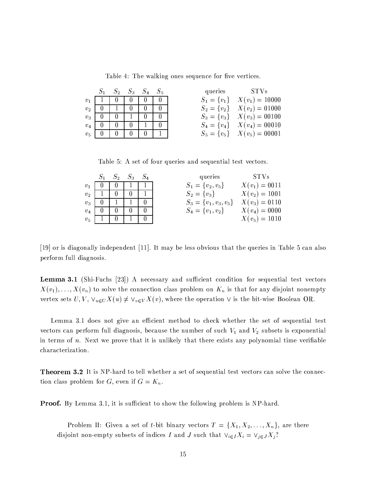Table 4: The walking ones sequence for five vertices.

|                |          |              | $S_2$ $S_3$ $S_4$ $S_5$ |  | queries | – STVs                           |
|----------------|----------|--------------|-------------------------|--|---------|----------------------------------|
| $v_1$          |          | $\theta$     |                         |  |         | $S_1 = \{v_1\}$ $X(v_1) = 10000$ |
| v <sub>2</sub> | $\theta$ |              | 0                       |  |         | $S_2 = \{v_2\}$ $X(v_2) = 01000$ |
| $v_3$          | $\theta$ | $\theta$     |                         |  |         | $S_3 = \{v_3\}$ $X(v_3) = 00100$ |
| $v_4$          | 0        | $\mathbf{0}$ |                         |  |         | $S_4 = \{v_4\}$ $X(v_4) = 00010$ |
| v <sub>5</sub> |          |              |                         |  |         | $S_5 = \{v_5\}$ $X(v_5) = 00001$ |

Table 5: A set of four queries and sequential test vectors.

|                | $S_2$ | $S_3$ | queries                   | STVs            |
|----------------|-------|-------|---------------------------|-----------------|
| v <sub>1</sub> |       |       | $S_1 = \{v_2, v_5\}$      | $X(v_1) = 0011$ |
| v <sub>2</sub> |       |       | $S_2 = \{v_3\}$           | $X(v_2) = 1001$ |
| $v_2$          |       |       | $S_3 = \{v_1, v_3, v_5\}$ | $X(v_3) = 0110$ |
| v <sub>4</sub> |       |       | $S_4 = \{v_1, v_2\}$      | $X(v_4) = 0000$ |
| $v_{5}$        |       |       |                           | $X(v_5) = 1010$ |

[19] or is diagonally independent [11]. It may be less obvious that the queries in Table 5 can also perform full diagnosis.

**Lemma 3.1** (Shi-Fuchs [23]) A necessary and sufficient condition for sequential test vectors  $X(v_1), \ldots, X(v_n)$  to solve the connection class problem on  $K_n$  is that for any disjoint nonempty vertex sets U, V,  $\vee_{u\in U}X(u)\neq \vee_{v\in V}X(v)$ , where the operation  $\vee$  is the bit-wise Boolean OR.

Lemma 3.1 does not give an efficient method to check whether the set of sequential test vectors can perform full diagnosis, because the number of such  $V_1$  and  $V_2$  subsets is exponential in terms of  $n$ . Next we prove that it is unlikely that there exists any polynomial time verifiable characterization.

**Theorem 3.2** It is NP-hard to tell whether a set of sequential test vectors can solve the connection class problem for G, even if  $G = K_n$ .

**Proof.** By Lemma 3.1, it is sufficient to show the following problem is NP-hard.

Problem II: Given a set of t-bit binary vectors  $T = \{X_1, X_2, \ldots, X_n\}$ , are there disjoint non-empty subsets of indices I and J such that  $\vee_{i\in I} X_i = \vee_{j\in J} X_j$ ?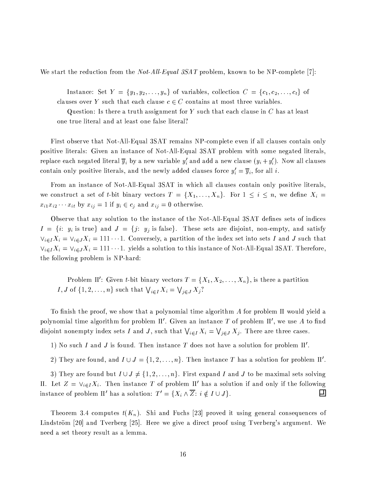We start the reduction from the *Not-All-Equal 3SAT* problem, known to be NP-complete [7]:

Instance: Set  $Y = \{y_1, y_2, \ldots, y_n\}$  of variables, collection  $C = \{c_1, c_2, \ldots, c_t\}$  of clauses over Y such that each clause  $c \in C$  contains at most three variables.

Question: Is there a truth assignment for Y such that each clause in  $C$  has at least one true literal and at least one false literal?

First observe that Not-All-Equal 3SAT remains NP-complete even if all clauses contain only positive literals: Given an instance of Not-All-Equal 3SAT problem with some negated literals, replace each negated literal  $\overline{y}_i$  by a new variable y' and add a new clause  $(y_i + y'_i)$ . Now all clauses contain only positive literals, and the newly added clauses force  $y'_i = \overline{y}_i$ , for all *i*.

From an instance of Not-All-Equal 3SAT in which all clauses contain only positive literals, we construct a set of t-bit binary vectors  $T = \{X_1, \ldots, X_n\}$ . For  $1 \leq i \leq n$ , we define  $X_i =$  $x_{i1}x_{i2}\cdots x_{it}$  by  $x_{ij}=1$  if  $y_i \in c_j$  and  $x_{ij}=0$  otherwise.

Observe that any solution to the instance of the Not-All-Equal 3SAT defines sets of indices  $I = \{i: y_i \text{ is true}\}\$ and  $J = \{j: y_j \text{ is false}\}.$  These sets are disjoint, non-empty, and satisfy  $\vee_{i\in I}X_i=\vee_{i\in J}X_i=111\cdots1$ . Conversely, a partition of the index set into sets I and J such that  $\vee_{i\in I}X_i=\vee_{i\in J}X_i=111\cdots1$ . yields a solution to this instance of Not-All-Equal 3SAT. Therefore, the following problem is NP-hard:

Problem II': Given t-bit binary vectors  $T = \{X_1, X_2, \ldots, X_n\}$ , is there a partition I, J of  $\{1, 2, ..., n\}$  such that  $\bigvee_{i \in I} X_i = \bigvee_{j \in J} X_j$ ?

To finish the proof, we show that a polynomial time algorithm A for problem II would yield a polynomial time algorithm for problem  $\Pi'$ . Given an instance T of problem  $\Pi'$ , we use A to find disjoint nonempty index sets I and J, such that  $\bigvee_{i\in I} X_i = \bigvee_{j\in J} X_j$ . There are three cases.

1) No such I and J is found. Then instance T does not have a solution for problem  $\Pi'$ .

2) They are found, and  $I \cup J = \{1, 2, ..., n\}$ . Then instance T has a solution for problem II'.

3) They are found but  $I \cup J \neq \{1, 2, ..., n\}$ . First expand I and J to be maximal sets solving II. Let  $Z = V_{i \in I} X_i$ . Then instance T of problem II' has a solution if and only if the following instance of problem II' has a solution:  $T' = \{X_i \wedge \overline{Z} : i \notin I \cup J\}.$ 囙

Theorem 3.4 computes  $t(K_n)$ . Shi and Fuchs [23] proved it using general consequences of Lindström [20] and Tverberg [25]. Here we give a direct proof using Tverberg's argument. We need a set theory result as a lemma.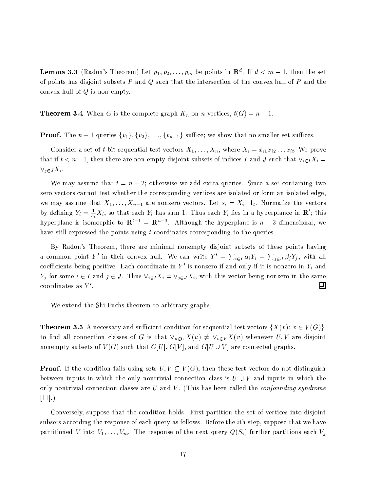**Lemma 3.3** (Radon's Theorem) Let  $p_1, p_2, \ldots, p_m$  be points in  $\mathbb{R}^d$ . If  $d < m - 1$ , then the set of points has disjoint subsets  $P$  and  $Q$  such that the intersection of the convex hull of  $P$  and the convex hull of  $Q$  is non-empty.

**Theorem 3.4** When G is the complete graph  $K_n$  on n vertices,  $t(G) = n - 1$ .

**Proof.** The  $n-1$  queries  $\{v_1\}, \{v_2\}, \ldots, \{v_{n-1}\}\$  suffice; we show that no smaller set suffices.

Consider a set of t-bit sequential test vectors  $X_1, \ldots, X_n$ , where  $X_i = x_{i1} x_{i2} \ldots x_{it}$ . We prove that if  $t < n-1$ , then there are non-empty disjoint subsets of indices I and J such that  $\vee_{i \in I} X_i =$  $\vee_{j\in J}X_i$ .

We may assume that  $t = n - 2$ ; otherwise we add extra queries. Since a set containing two zero vectors cannot test whether the corresponding vertices are isolated or form an isolated edge, we may assume that  $X_1, \ldots, X_{n-1}$  are nonzero vectors. Let  $s_i = X_i \cdot 1_t$ . Normalize the vectors by defining  $Y_i = \frac{1}{s_i} X_i$ , so that each  $Y_i$  has sum 1. Thus each  $Y_i$  lies in a hyperplance in  $\mathbb{R}^t$ ; this hyperplane is isomorphic to  $\mathbf{R}^{t-1} = \mathbf{R}^{n-3}$ . Although the hyperplane is  $n-3$ -dimensional, we have still expressed the points using t coordinates corresponding to the queries.

By Radon's Theorem, there are minimal nonempty disjoint subsets of these points having a common point Y' in their convex hull. We can write  $Y' = \sum_{i \in I} \alpha_i Y_i = \sum_{j \in J} \beta_j Y_j$ , with all coefficients being positive. Each coordinate in  $Y'$  is nonzero if and only if it is nonzero in  $Y_i$  and  $Y_j$  for some  $i \in I$  and  $j \in J$ . Thus  $\vee_{i \in I} X_i = \vee_{j \in J} X_i$ , with this vector being nonzero in the same coordinates as  $Y'$ .  $\Box$ 

We extend the Shi-Fuchs theorem to arbitrary graphs.

**Theorem 3.5** A necessary and sufficient condition for sequential test vectors  $\{X(v): v \in V(G)\}\$ . to find all connection classes of G is that  $\vee_{u\in U}X(u)\neq\vee_{v\in V}X(v)$  whenever  $U,V$  are disjoint nonempty subsets of  $V(G)$  such that  $G[U], G[V]$ , and  $G[U \cup V]$  are connected graphs.

**Proof.** If the condition fails using sets  $U, V \subseteq V(G)$ , then these test vectors do not distinguish between inputs in which the only nontrivial connection class is  $U \cup V$  and inputs in which the only nontrivial connection classes are  $U$  and  $V$ . (This has been called the *confounding syndrome*  $[11]$ .)

Conversely, suppose that the condition holds. First partition the set of vertices into disjoint subsets according the response of each query as follows. Before the *i*th step, suppose that we have partitioned V into  $V_1, \ldots, V_m$ . The response of the next query  $Q(S_i)$  further partitions each  $V_j$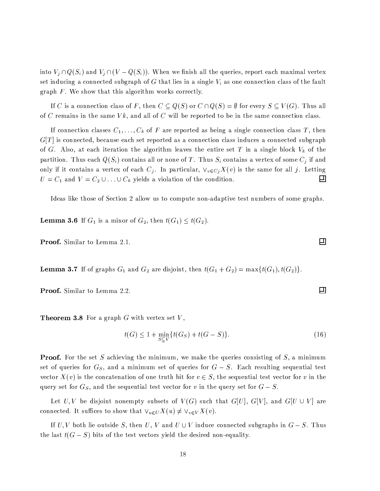into  $V_j \cap Q(S_i)$  and  $V_j \cap (V - Q(S_i))$ . When we finish all the queries, report each maximal vertex set inducing a connected subgraph of G that lies in a single  $V_i$  as one connection class of the fault graph  $F$ . We show that this algorithm works correctly.

If C is a connection class of F, then  $C \subseteq Q(S)$  or  $C \cap Q(S) = \emptyset$  for every  $S \subseteq V(G)$ . Thus all of C remains in the same  $Vk$ , and all of C will be reported to be in the same connection class.

If connection classes  $C_1, \ldots, C_k$  of F are reported as being a single connection class T, then  $G[T]$  is connected, because each set reported as a connection class induces a connected subgraph of G. Also, at each iteration the algorithm leaves the entire set T in a single block  $V_k$  of the partition. Thus each  $Q(S_i)$  contains all or none of  $T.$  Thus  $S_i$  contains a vertex of some  $C_j$  if and only if it contains a vertex of each  $C_j.$  In particular,  $\vee_{v\in Cj}X(v)$  is the same for all  $j.$  Letting  $U = C_1$  and  $V = C_2 \cup ... \cup C_k$  yields a violation of the condition.  $\Box$ 

Ideas like those of Section 2 allow us to compute non-adaptive test numbers of some graphs.

**Lemma 3.6** If  $G_1$  is a minor of  $G_2$ , then  $t(G_1) \leq t(G_2)$ .

Proof. Similar to Lemma 2.1.

**Lemma 3.7** If of graphs  $G_1$  and  $G_2$  are disjoint, then  $t(G_1 + G_2) = \max\{t(G_1), t(G_2)\}.$ 

Proof. Similar to Lemma 2.2.

**Theorem 3.8** For a graph  $G$  with vertex set  $V$ ,

$$
t(G) \le 1 + \min_{S \subset V} \{ t(G_S) + t(G - S) \}. \tag{16}
$$

**Proof.** For the set S achieving the minimum, we make the queries consisting of  $S$ , a minimum set of queries for  $G_S$ , and a minimum set of queries for  $G-S$ . Each resulting sequential test vector  $X(v)$  is the concatenation of one truth bit for  $v \in S$ , the sequential test vector for v in the query set for  $G_S$ , and the sequential test vector for v in the query set for  $G-S$ .

Let U,V be disjoint nonempty subsets of  $V(G)$  such that  $G[U]$ ,  $G[V]$ , and  $G[U \cup V]$  are connected. It suffices to show that  $\forall_{u\in U}X(u)\neq \forall_{v\in V}X(v)$ .

If U, V both lie outside S, then U, V and  $U \cup V$  induce connected subgraphs in  $G-S$ . Thus the last  $t(G - S)$  bits of the test vectors yield the desired non-equality.

 $\Box$ 

回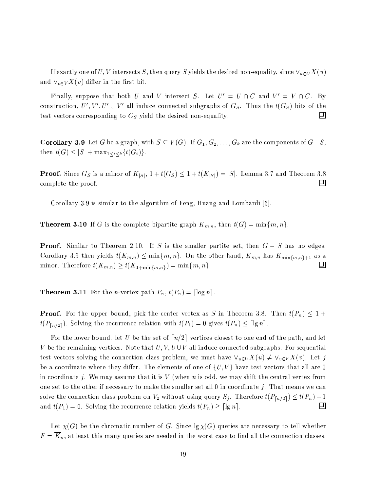If exactly one of U, V intersects S, then query S yields the desired non-equality, since  $\vee_{u\in U} X(u)$ and  $\vee_{v \in V} X(v)$  differ in the first bit.

Finally, suppose that both U and V intersect S. Let  $U' = U \cap C$  and  $V' = V \cap C$ . By construction,  $U', V', U' \cup V'$  all induce connected subgraphs of  $G_S$ . Thus the  $t(G_S)$  bits of the  $\Box$ test vectors corresponding to  $G_S$  yield the desired non-equality.

**Corollary 3.9** Let G be a graph, with  $S \subseteq V(G)$ . If  $G_1, G_2, ..., G_k$  are the components of  $G-S$ , then  $t(G) \leq |S| + \max_{1 \leq i \leq k} \{t(G_i)\}.$ 

**Proof.** Since  $G_S$  is a minor of  $K_{|S|}$ ,  $1 + t(G_S) \leq 1 + t(K_{|S|}) = |S|$ . Lemma 3.7 and Theorem 3.8 complete the proof. □

Corollary 3.9 is similar to the algorithm of Feng, Huang and Lombardi [6].

**Theorem 3.10** If G is the complete bipartite graph  $K_{m,n}$ , then  $t(G) = \min\{m, n\}$ .

**Proof.** Similar to Theorem 2.10. If S is the smaller partite set, then  $G-S$  has no edges. Corollary 3.9 then yields  $t(K_{m,n}) \leq \min\{m,n\}$ . On the other hand,  $K_{m,n}$  has  $K_{\min\{m,n\}+1}$  as a minor. Therefore  $t(K_{m,n}) \geq t(K_{1+\min\{m,n\}}) = \min\{m,n\}.$  $\Box$ 

**Theorem 3.11** For the *n*-vertex path  $P_n$ ,  $t(P_n) = \lceil \log n \rceil$ .

**Proof.** For the upper bound, pick the center vertex as S in Theorem 3.8. Then  $t(P_n) \leq 1 +$  $t(P_{\lceil n/2 \rceil})$ . Solving the recurrence relation with  $t(P_1) = 0$  gives  $t(P_n) \leq \lceil \lg n \rceil$ .

For the lower bound. let U be the set of  $\lceil n/2 \rceil$  vertices closest to one end of the path, and let V be the remaining vertices. Note that  $U, V, U \cup V$  all induce connected subgraphs. For sequential test vectors solving the connection class problem, we must have  $\vee_{u\in U}X(u)\neq \vee_{v\in V}X(v)$ . Let j be a coordinate where they differ. The elements of one of  $\{U, V\}$  have test vectors that all are 0 in coordinate j. We may assume that it is  $V$  (when n is odd, we may shift the central vertex from one set to the other if necessary to make the smaller set all 0 in coordinate j. That means we can solve the connection class problem on  $V_2$  without using query  $S_j$ . Therefore  $t(P_{\lfloor n/2 \rfloor}) \leq t(P_n) - 1$ 囙 and  $t(P_1) = 0$ . Solving the recurrence relation yields  $t(P_n) \geq \lceil \lg n \rceil$ .

Let  $\chi(G)$  be the chromatic number of G. Since  $\lg \chi(G)$  queries are necessary to tell whether  $F = \overline{K}_n$ , at least this many queries are needed in the worst case to find all the connection classes.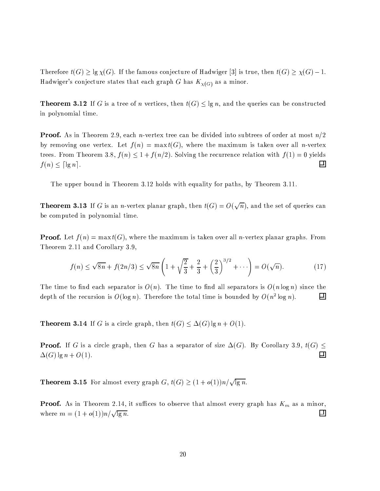Therefore  $t(G) \geq \lg \chi(G)$ . If the famous conjecture of Hadwiger [3] is true, then  $t(G) \geq \chi(G) - 1$ . Hadwiger's conjecture states that each graph G has  $K_{\chi(G)}$  as a minor.

**Theorem 3.12** If G is a tree of n vertices, then  $t(G) \le \lg n$ , and the queries can be constructed in polynomial time.

**Proof.** As in Theorem 2.9, each *n*-vertex tree can be divided into subtrees of order at most  $n/2$ by removing one vertex. Let  $f(n) = \max t(G)$ , where the maximum is taken over all *n*-vertex trees. From Theorem 3.8,  $f(n) \leq 1 + f(n/2)$ . Solving the recurrence relation with  $f(1) = 0$  yields 口  $f(n) \leq \lceil \lg n \rceil$ .

The upper bound in Theorem 3.12 holds with equality for paths, by Theorem 3.11.

**Theorem 3.13** If G is an *n*-vertex planar graph, then  $t(G) = O(\sqrt{n})$ , and the set of queries can be computed in polynomial time.

**Proof.** Let  $f(n) = \max t(G)$ , where the maximum is taken over all *n*-vertex planar graphs. From Theorem 2.11 and Corollary 3.9,

$$
f(n) \le \sqrt{8n} + f(2n/3) \le \sqrt{8n} \left( 1 + \sqrt{\frac{2}{3}} + \frac{2}{3} + \left(\frac{2}{3}\right)^{3/2} + \cdots \right) = O(\sqrt{n}).\tag{17}
$$

The time to find each separator is  $O(n)$ . The time to find all separators is  $O(n \log n)$  since the depth of the recursion is  $O(\log n)$ . Therefore the total time is bounded by  $O(n^2 \log n)$ . 口

**Theorem 3.14** If G is a circle graph, then  $t(G) \leq \Delta(G) \lg n + O(1)$ .

**Proof.** If G is a circle graph, then G has a separator of size  $\Delta(G)$ . By Corollary 3.9,  $t(G) \leq$ 回  $\Delta(G)$  lg  $n + O(1)$ .

**Theorem 3.15** For almost every graph  $G, t(G) \geq (1 + o(1))n/\sqrt{\lg n}$ .

**Proof.** As in Theorem 2.14, it suffices to observe that almost every graph has  $K_m$  as a minor, where  $m = (1 + o(1))n / \sqrt{\lg n}$ . □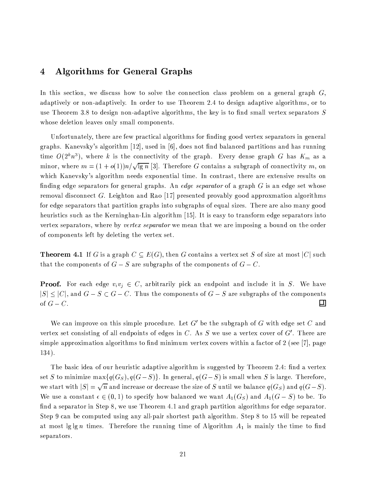### K0 -=[---

b3 HO82.WBBI,GS/H².;C3mlK/,5-C.ABMS/=BOB85;X/ HO; B²;L>1Y9,7HO85,-S/;93535,GS/HI.1;93SM>W@9BOB05KM;9i2>1,JN ;93@-49,J35,JK/@k>o4CK¬@L058]jl adaptively or non-adaptively. In order to use Theorem 2.4 to design adaptive algorithms, or to use Theorem 3.8 to design non-adaptive algorithms, the key is to find small vertex separators  $S$ whose deletion leaves only small components.

Unfortunately, there are few practical algorithms for finding good vertex separators in general graphs. Kanevsky's algorithm [12], used in [6], does not find balanced partitions and has running  $\frac{1}{2}$ ,  $\frac{1}{2}$ ,  $\frac{1}{2}$ ,  $\frac{1}{2}$ ,  $\frac{1}{2}$ ,  $\frac{1}{2}$ ,  $\frac{1}{2}$ ,  $\frac{1}{2}$ ,  $\frac{1}{2}$ ,  $\frac{1}{2}$ ,  $\frac{1}{2}$ ,  $\frac{1}{2}$ ,  $\frac{1}{2}$ ,  $\frac{1}{2}$ ,  $\frac{1}{2}$ ,  $\frac{1}{2}$ ,  $\frac{1}{2}$ ,  $\frac{1}{2}$ ,  $\frac{1}{2}$ ,  $\frac{1}{2}$ , minor, where  $m = (1 + o(1))n/\sqrt{\lg n}$  [3]. Therefore G contains a subgraph of connectivity m, on which Kanevsky's algorithm needs exponential time. In contrast, there are extensive results on finding edge separators for general graphs. An *edge separator* of a graph  $G$  is an edge set whose removal disconnect G. Leighton and Rao [17] presented provably good approxmation algorithms for edge separators that partition graphs into subgraphs of equal sizes. There are also many good heuristics such as the Kerninghan-Lin algorithm [15]. It is easy to transform edge separators into vertex separators, where by *vertex separator* we mean that we are imposing a bound on the order of components left by deleting the vertex set.

**Theorem 4.1** If G is a graph  $C \subseteq E(G)$ , then G contains a vertex set S of size at most |C| such that the components of  $G-S$  are subgraphs of the components of  $G-C$ .

**Proof.** For each edge  $v_i v_i \in C$ , arbitrarily pick an endpoint and include it in S. We have  $|S| \leq |C|$ , and  $G - S \subset G - C$ . Thus the components of  $G - S$  are subgraphs of the components of  $G - C$ . 囙

We can improve on this simple procedure. Let G' be the subgraph of G with edge set C and vertex set consisting of all endpoints of edges in C. As S we use a vertex cover of  $G'$ . There are simple approximation algorithms to find minimum vertex covers within a factor of 2 (see [7], page  $134$ ).

The basic idea of our heuristic adaptive algorithm is suggested by Theorem 2.4: find a vertex  $\alpha$  iii (/ $\alpha$ ) D.B.4 point D.B.Wards /haster /haster /haster /haster /haster /h /,EBIH¬@LKOH
/.1HO8 &Xl @L3 -±.3S/KM,G@9BI,E;9K"-2,GS/KO,G@9B²,EHO85,EBZ. J,E;LP & =532HI.e> /,i@k>W@L3S/, &4pj\*9@?3 -&4pj5D&9/F We use a constant  $\epsilon \in (0,1)$  to specify how balanced we want  $A_1(G_S)$  and  $A_1(G-S)$  to be. To find a separator in Step 8, we use Theorem 4.1 and graph partition algorithms for edge separator. Step 9 can be computed using any all-pair shortest path algorithm. Step 8 to 15 will be repeated at most lglg *n* times. Therefore the running time of Algorithm  $A_1$  is mainly the time to find separators.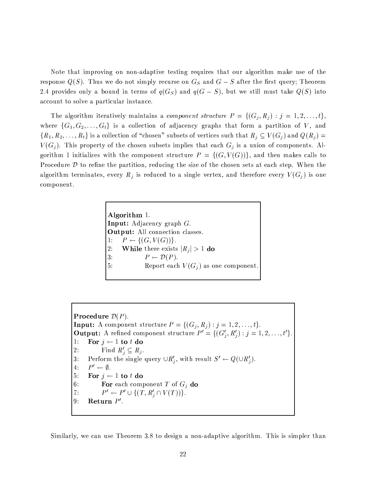Note that improving on non-adaptive testing requires that our algorithm make use of the response  $Q(S)$ . Thus we do not simply recurse on  $G_S$  and  $G-S$  after the first query; Theorem 2.4 provides only a bound in terms of  $q(G<sub>S</sub>)$  and  $q(G - S)$ , but we still must take  $Q(S)$  into account to solve a particular instance.

and the state in the state of the state of the state of the state of the state of the state of the state of the  $\mathcal{M}=\mathcal{M}\otimes\mathcal{M}$  , and are defined as a single and a single are defined as a single of  $\mathcal{M}$  $\zeta$  and  $\zeta$  is the solution of the solution of the solution of the solution of the solution of the solution of the solution of the solution of the solution of the solution of the solution of the solution of the soluti  $V(G_j)$ . This property of the chosen subsets implies that each  $G_j$  is a union of components. Altia dia amin'ny fivondronan-kaominin'i Communister ao Frantsa. I Ann amin'ny faritr'i Nord-Amerika amin'ny faritr'i Nord-Amerika amin'ny fivondronan-kaominin'i Communister ao Frantsa.<br>Ny INSEE dia mampiasa ny kaodim-paosi Procedure  $D$  to refine the partition, reducing the size of the chosen sets at each step. When the algorithm terminates, every  $R_j$  is reduced to a single vertex, and therefore every  $V(G_j)$  is one component.

> Algorithm 1. : H8-Gs²@9S/,J3S/[4CK¬@L058jF : : Hh>d>RS/;93535,GS/HI.1;937SM>W@9BOBI,GBJF v#  4pjqVoB4pjP99+ TF 2: While there exists  $|R_i| > 1$  do 3:  $P \leftarrow \mathcal{D}(P)$ . 5: Report each  $V(G_i)$  as one component.

Procedure  $\mathcal{D}(P)$ .  $\bullet$  . The system is the system of  $\mathcal{L}/\mathcal{A}$  and  $\mathcal{L}/\mathcal{A}$  and  $\mathcal{L}/\mathcal{A}$  : : HKM,Vi35,=-S/;9N0;935,J32H¡BIHOKO=S/HM=5KO,
l 4pjz q-z <sup>9</sup>  lv#q/r;q <sup>3</sup> <sup>3</sup> 3pq& TF 1: For  $j \leftarrow 1$  to t do 2: Find  $R'_i \subseteq R_j$ . t; ?¤,JK²P;9KMN HM85,fBZ.1354L>1,.~C=5,JKO[ z l;/.1HO8 KO,GBI=2>1H &
 \*.4 z 9¬F 4:  $P' \leftarrow \emptyset$ . 5: For  $j \leftarrow 1$  to t do 6: **For** each component T of  $G_j$  do n  4Kq-z -o4899 2F 9: Return  $P'$ .

Similarly, we can use Theorem 3.8 to design a non-adaptive algorithm. This is simpler than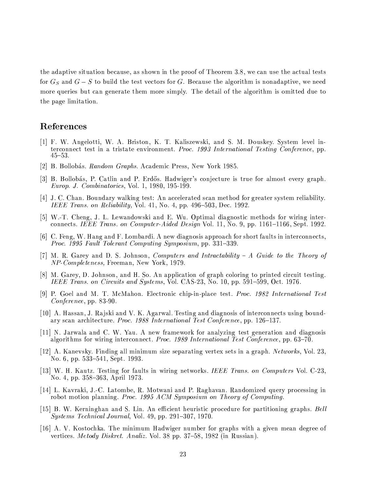the adaptive situation because, as shown in the proof of Theorem 3.8, we can use the actual tests for  $G_S$  and  $G-S$  to build the test vectors for G. Because the algorithm is nonadaptive, we need more queries but can generate them more simply. The detail of the algorithm is omitted due to the page limitation.

## References

- [1] F. W. Angelotti, W. A. Briston, K. T. Kaliszewski, and S. M. Douskey. System level interconnect test in a tristate environment. Proc. 1993 International Testing Conference, pp.  $45 - 53.$
- [2] B. Bollobás. Random Graphs. Academic Press, New York 1985.
- [3] B. Bollobás, P. Catlin and P. Erdős. Hadwiger's conjecture is true for almost every graph. *Europ. J. Combinatorics*, Vol. 1, 1980, 195-199.
- [4] J. C. Chan. Boundary walking test: An accelerated scan method for greater system reliability. IEEE Trans. on Reliability, Vol. 41, No. 4, pp. 496–503, Dec. 1992.
- [5] W.-T. Cheng, J. L. Lewandowski and E. Wu. Optimal diagnostic methods for wiring interconnects. IEEE Trans. on Computer-Aided Design Vol. 11, No. 9, pp. 1161-1166, Sept. 1992.
- [6] C. Feng, W. Hang and F. Lombardi. A new diagnosis approach for short faults in interconnects, *Proc.* 1995 Fault Tolerant Computing Symposium, pp. 331-339.
- [7] M. R. Garey and D. S. Johnson, Computers and Intractability A Guide to the Theory of NP-Completeness, Freeman, New York, 1979.
- [8] M. Garey, D. Johnson, and H. So. An application of graph coloring to printed circuit testing. IEEE Trans. on Circuits and Systems, Vol. CAS-23, No. 10, pp. 591–599, Oct. 1976.
- [9] P. Goel and M. T. McMahon. Electronic chip-in-place test. *Proc. 1982 International Test Conference*, pp. 83-90.
- [10] A. Hassan, J. Rajski and V. K. Agarwal. Testing and diagnosis of interconnects using boundary scan architecture. Proc. 1988 International Test Conference, pp. 126-137.
- [11] N. Jarwala and C. W. Yau. A new framework for analyzing test generation and diagnosis algorithms for wiring interconnect. Proc. 1989 International Test Conference, pp. 63-70.
- [12] A. Kanevsky. Finding all minimum size separating vertex sets in a graph. Networks, Vol. 23, No. 6, pp. 533-541, Sept. 1993.
- [13] W. H. Kautz. Testing for faults in wiring networks. IEEE Trans. on Computers Vol. C-23, No. 4, pp. 358-363, April 1973.
- [14] L. Kavraki, J.-C. Latombe, R. Motwani and P. Raghavan. Randomized query processing in robot motion planning. Proc. 1995 ACM Symposium on Theory of Computing.
- [15] B. W. Kerninghan and S. Lin. An efficient heuristic procedure for partitioning graphs. Bell Systems Technical Journal, Vol. 49, pp. 291-307, 1970.
- [16] A. V. Kostochka. The minimum Hadwiger number for graphs with a given mean degree of vertices. Metody Diskret. Analiz. Vol. 38 pp. 37-58, 1982 (in Russian).